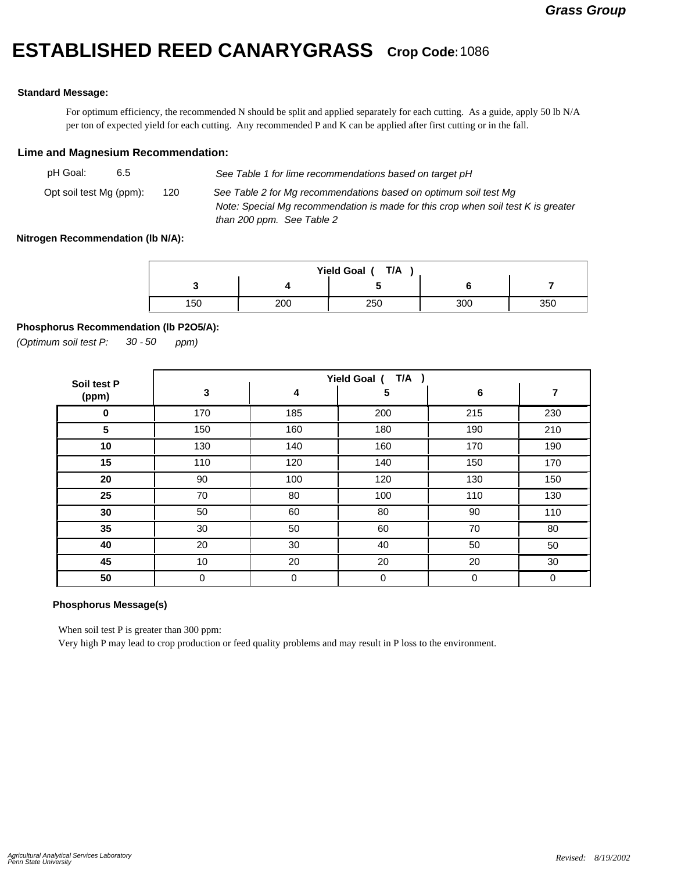# **ESTABLISHED REED CANARYGRASS Crop Code:**<sup>1086</sup>

#### **Standard Message:**

For optimum efficiency, the recommended N should be split and applied separately for each cutting. As a guide, apply 50 lb N/A per ton of expected yield for each cutting. Any recommended P and K can be applied after first cutting or in the fall.

#### **Lime and Magnesium Recommendation:**

| pH Goal:<br>6.5         |     | See Table 1 for lime recommendations based on target pH                                                                                                                            |
|-------------------------|-----|------------------------------------------------------------------------------------------------------------------------------------------------------------------------------------|
| Opt soil test Mg (ppm): | 120 | See Table 2 for Mg recommendations based on optimum soil test Mg<br>Note: Special Mg recommendation is made for this crop when soil test K is greater<br>than 200 ppm. See Table 2 |

#### **Nitrogen Recommendation (lb N/A):**

| T/A<br>Yield Goal ( |     |     |     |     |  |  |
|---------------------|-----|-----|-----|-----|--|--|
|                     |     |     |     |     |  |  |
| 150                 | 200 | 250 | 300 | 350 |  |  |

## **Phosphorus Recommendation (lb P2O5/A):**

*(Optimum soil test P: 30 ppm) - 50*

| Soil test P | $T/A$ )<br>Yield Goal ( |     |             |     |     |  |
|-------------|-------------------------|-----|-------------|-----|-----|--|
| (ppm)       | 3                       | 4   | 5           | 6   | 7   |  |
| $\bf{0}$    | 170                     | 185 | 200         | 215 | 230 |  |
| 5           | 150                     | 160 | 180         | 190 | 210 |  |
| 10          | 130                     | 140 | 160         | 170 | 190 |  |
| 15          | 110                     | 120 | 140         | 150 | 170 |  |
| 20          | 90                      | 100 | 120         | 130 | 150 |  |
| 25          | 70                      | 80  | 100         | 110 | 130 |  |
| 30          | 50                      | 60  | 80          | 90  | 110 |  |
| 35          | 30                      | 50  | 60          | 70  | 80  |  |
| 40          | 20                      | 30  | 40          | 50  | 50  |  |
| 45          | 10                      | 20  | 20          | 20  | 30  |  |
| 50          | 0                       | 0   | $\mathbf 0$ | 0   | 0   |  |

## **Phosphorus Message(s)**

When soil test P is greater than 300 ppm:

Very high P may lead to crop production or feed quality problems and may result in P loss to the environment.